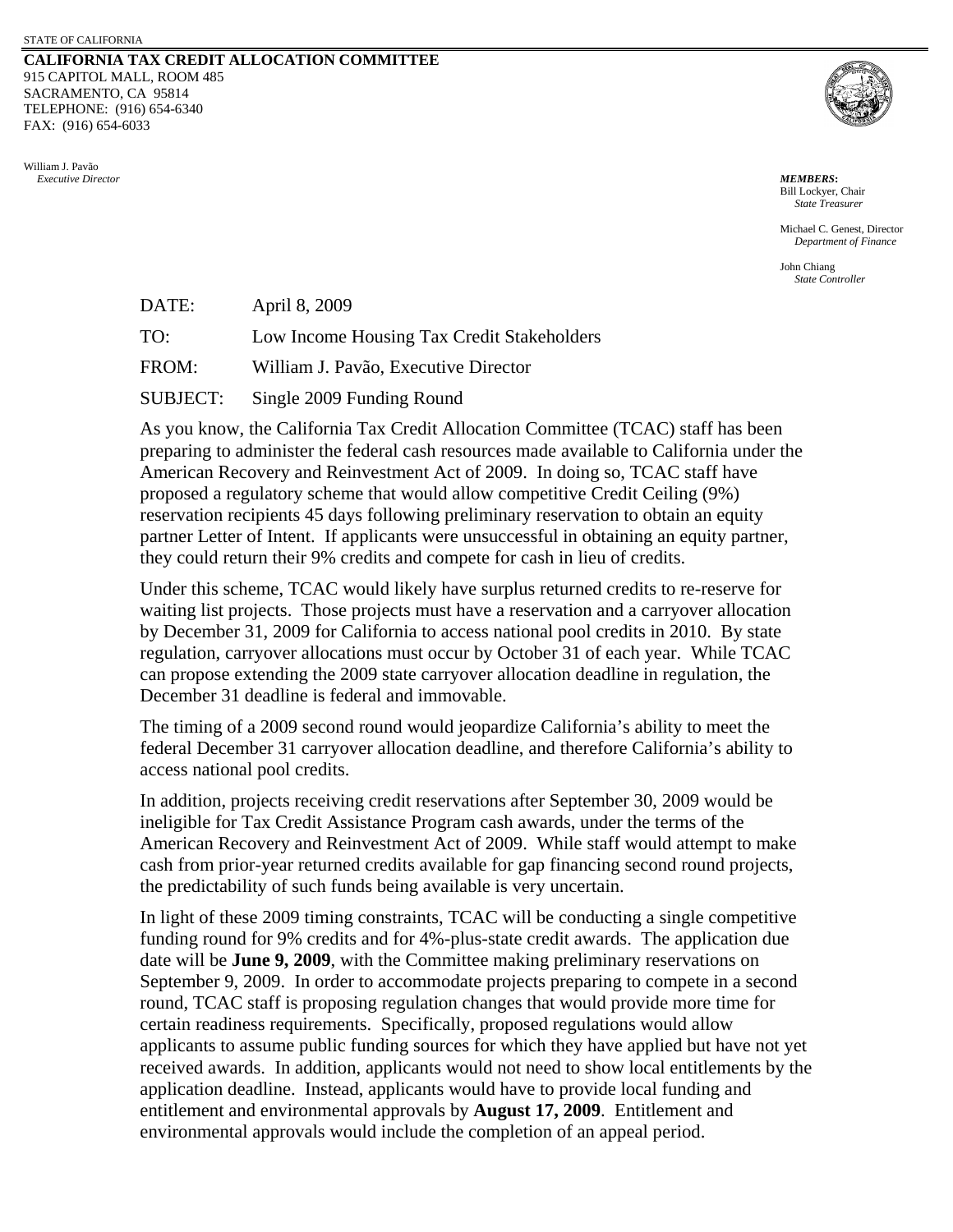## **CALIFORNIA TAX CREDIT ALLOCATION COMMITTEE** 915 CAPITOL MALL, ROOM 485 SACRAMENTO, CA 95814 TELEPHONE: (916) 654-6340 FAX: (916) 654-6033





Bill Lockyer, Chair *State Treasurer*

Michael C. Genest, Director *Department of Finance* 

John Chiang *State Controller*

| DATE:           | April 8, 2009                              |
|-----------------|--------------------------------------------|
| TO:             | Low Income Housing Tax Credit Stakeholders |
| FROM:           | William J. Pavão, Executive Director       |
| <b>SUBJECT:</b> | Single 2009 Funding Round                  |

As you know, the California Tax Credit Allocation Committee (TCAC) staff has been preparing to administer the federal cash resources made available to California under the American Recovery and Reinvestment Act of 2009. In doing so, TCAC staff have proposed a regulatory scheme that would allow competitive Credit Ceiling (9%) reservation recipients 45 days following preliminary reservation to obtain an equity partner Letter of Intent. If applicants were unsuccessful in obtaining an equity partner, they could return their 9% credits and compete for cash in lieu of credits.

Under this scheme, TCAC would likely have surplus returned credits to re-reserve for waiting list projects. Those projects must have a reservation and a carryover allocation by December 31, 2009 for California to access national pool credits in 2010. By state regulation, carryover allocations must occur by October 31 of each year. While TCAC can propose extending the 2009 state carryover allocation deadline in regulation, the December 31 deadline is federal and immovable.

The timing of a 2009 second round would jeopardize California's ability to meet the federal December 31 carryover allocation deadline, and therefore California's ability to access national pool credits.

In addition, projects receiving credit reservations after September 30, 2009 would be ineligible for Tax Credit Assistance Program cash awards, under the terms of the American Recovery and Reinvestment Act of 2009. While staff would attempt to make cash from prior-year returned credits available for gap financing second round projects, the predictability of such funds being available is very uncertain.

In light of these 2009 timing constraints, TCAC will be conducting a single competitive funding round for 9% credits and for 4%-plus-state credit awards. The application due date will be **June 9, 2009**, with the Committee making preliminary reservations on September 9, 2009. In order to accommodate projects preparing to compete in a second round, TCAC staff is proposing regulation changes that would provide more time for certain readiness requirements. Specifically, proposed regulations would allow applicants to assume public funding sources for which they have applied but have not yet received awards. In addition, applicants would not need to show local entitlements by the application deadline. Instead, applicants would have to provide local funding and entitlement and environmental approvals by **August 17, 2009**. Entitlement and environmental approvals would include the completion of an appeal period.